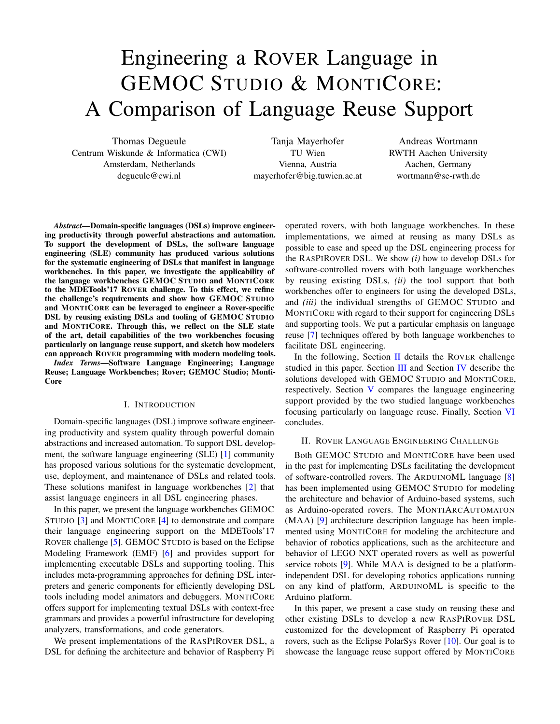# Engineering a ROVER Language in GEMOC STUDIO & MONTICORE: A Comparison of Language Reuse Support

Thomas Degueule Centrum Wiskunde & Informatica (CWI) Amsterdam, Netherlands degueule@cwi.nl

Tanja Mayerhofer TU Wien Vienna, Austria mayerhofer@big.tuwien.ac.at

Andreas Wortmann RWTH Aachen University Aachen, Germany wortmann@se-rwth.de

*Abstract*—Domain-specific languages (DSLs) improve engineering productivity through powerful abstractions and automation. To support the development of DSLs, the software language engineering (SLE) community has produced various solutions for the systematic engineering of DSLs that manifest in language workbenches. In this paper, we investigate the applicability of the language workbenches GEMOC STUDIO and MONTICORE to the MDETools'17 ROVER challenge. To this effect, we refine the challenge's requirements and show how GEMOC STUDIO and MONTICORE can be leveraged to engineer a Rover-specific DSL by reusing existing DSLs and tooling of GEMOC STUDIO and MONTICORE. Through this, we reflect on the SLE state of the art, detail capabilities of the two workbenches focusing particularly on language reuse support, and sketch how modelers can approach ROVER programming with modern modeling tools.

*Index Terms*—Software Language Engineering; Language Reuse; Language Workbenches; Rover; GEMOC Studio; Monti-Core

#### I. INTRODUCTION

Domain-specific languages (DSL) improve software engineering productivity and system quality through powerful domain abstractions and increased automation. To support DSL development, the software language engineering (SLE) [\[1\]](#page-5-0) community has proposed various solutions for the systematic development, use, deployment, and maintenance of DSLs and related tools. These solutions manifest in language workbenches [\[2\]](#page-5-1) that assist language engineers in all DSL engineering phases.

In this paper, we present the language workbenches GEMOC STUDIO [\[3\]](#page-5-2) and MONTICORE [\[4\]](#page-5-3) to demonstrate and compare their language engineering support on the MDETools'17 ROVER challenge [\[5\]](#page-5-4). GEMOC STUDIO is based on the Eclipse Modeling Framework (EMF) [\[6\]](#page-5-5) and provides support for implementing executable DSLs and supporting tooling. This includes meta-programming approaches for defining DSL interpreters and generic components for efficiently developing DSL tools including model animators and debuggers. MONTICORE offers support for implementing textual DSLs with context-free grammars and provides a powerful infrastructure for developing analyzers, transformations, and code generators.

We present implementations of the RASPIROVER DSL, a DSL for defining the architecture and behavior of Raspberry Pi operated rovers, with both language workbenches. In these implementations, we aimed at reusing as many DSLs as possible to ease and speed up the DSL engineering process for the RASPIROVER DSL. We show *(i)* how to develop DSLs for software-controlled rovers with both language workbenches by reusing existing DSLs, *(ii)* the tool support that both workbenches offer to engineers for using the developed DSLs, and *(iii)* the individual strengths of GEMOC STUDIO and MONTICORE with regard to their support for engineering DSLs and supporting tools. We put a particular emphasis on language reuse [\[7\]](#page-5-6) techniques offered by both language workbenches to facilitate DSL engineering.

In the following, Section [II](#page-0-0) details the ROVER challenge studied in this paper. Section [III](#page-2-0) and Section [IV](#page-3-0) describe the solutions developed with GEMOC STUDIO and MONTICORE, respectively. Section [V](#page-4-0) compares the language engineering support provided by the two studied language workbenches focusing particularly on language reuse. Finally, Section [VI](#page-5-7) concludes.

## <span id="page-0-0"></span>II. ROVER LANGUAGE ENGINEERING CHALLENGE

Both GEMOC STUDIO and MONTICORE have been used in the past for implementing DSLs facilitating the development of software-controlled rovers. The ARDUINOML language [\[8\]](#page-5-8) has been implemented using GEMOC STUDIO for modeling the architecture and behavior of Arduino-based systems, such as Arduino-operated rovers. The MONTIARCAUTOMATON (MAA) [\[9\]](#page-5-9) architecture description language has been implemented using MONTICORE for modeling the architecture and behavior of robotics applications, such as the architecture and behavior of LEGO NXT operated rovers as well as powerful service robots [\[9\]](#page-5-9). While MAA is designed to be a platformindependent DSL for developing robotics applications running on any kind of platform, ARDUINOML is specific to the Arduino platform.

In this paper, we present a case study on reusing these and other existing DSLs to develop a new RASPIROVER DSL customized for the development of Raspberry Pi operated rovers, such as the Eclipse PolarSys Rover [\[10\]](#page-5-10). Our goal is to showcase the language reuse support offered by MONTICORE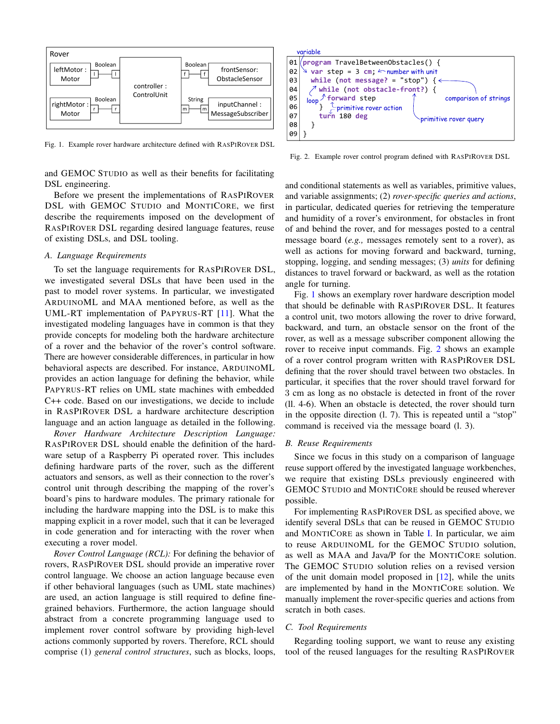

<span id="page-1-0"></span>Fig. 1. Example rover hardware architecture defined with RASPIROVER DSL

and GEMOC STUDIO as well as their benefits for facilitating DSL engineering.

Before we present the implementations of RASPIROVER DSL with GEMOC STUDIO and MONTICORE, we first describe the requirements imposed on the development of RASPIROVER DSL regarding desired language features, reuse of existing DSLs, and DSL tooling.

# <span id="page-1-2"></span>*A. Language Requirements*

To set the language requirements for RASPIROVER DSL, we investigated several DSLs that have been used in the past to model rover systems. In particular, we investigated ARDUINOML and MAA mentioned before, as well as the UML-RT implementation of PAPYRUS-RT [\[11\]](#page-5-11). What the investigated modeling languages have in common is that they provide concepts for modeling both the hardware architecture of a rover and the behavior of the rover's control software. There are however considerable differences, in particular in how behavioral aspects are described. For instance, ARDUINOML provides an action language for defining the behavior, while PAPYRUS-RT relies on UML state machines with embedded C++ code. Based on our investigations, we decide to include in RASPIROVER DSL a hardware architecture description language and an action language as detailed in the following.

*Rover Hardware Architecture Description Language:* RASPIROVER DSL should enable the definition of the hardware setup of a Raspberry Pi operated rover. This includes defining hardware parts of the rover, such as the different actuators and sensors, as well as their connection to the rover's control unit through describing the mapping of the rover's board's pins to hardware modules. The primary rationale for including the hardware mapping into the DSL is to make this mapping explicit in a rover model, such that it can be leveraged in code generation and for interacting with the rover when executing a rover model.

*Rover Control Language (RCL):* For defining the behavior of rovers, RASPIROVER DSL should provide an imperative rover control language. We choose an action language because even if other behavioral languages (such as UML state machines) are used, an action language is still required to define finegrained behaviors. Furthermore, the action language should abstract from a concrete programming language used to implement rover control software by providing high-level actions commonly supported by rovers. Therefore, RCL should comprise (1) *general control structures*, such as blocks, loops,



<span id="page-1-1"></span>Fig. 2. Example rover control program defined with RASPIROVER DSL

and conditional statements as well as variables, primitive values, and variable assignments; (2) *rover-specific queries and actions*, in particular, dedicated queries for retrieving the temperature and humidity of a rover's environment, for obstacles in front of and behind the rover, and for messages posted to a central message board (*e.g.,* messages remotely sent to a rover), as well as actions for moving forward and backward, turning, stopping, logging, and sending messages; (3) *units* for defining distances to travel forward or backward, as well as the rotation angle for turning.

Fig. [1](#page-1-0) shows an exemplary rover hardware description model that should be definable with RASPIROVER DSL. It features a control unit, two motors allowing the rover to drive forward, backward, and turn, an obstacle sensor on the front of the rover, as well as a message subscriber component allowing the rover to receive input commands. Fig. [2](#page-1-1) shows an example of a rover control program written with RASPIROVER DSL defining that the rover should travel between two obstacles. In particular, it specifies that the rover should travel forward for 3 cm as long as no obstacle is detected in front of the rover (ll. 4-6). When an obstacle is detected, the rover should turn in the opposite direction (l. 7). This is repeated until a "stop" command is received via the message board (l. 3).

### *B. Reuse Requirements*

Since we focus in this study on a comparison of language reuse support offered by the investigated language workbenches, we require that existing DSLs previously engineered with GEMOC STUDIO and MONTICORE should be reused wherever possible.

For implementing RASPIROVER DSL as specified above, we identify several DSLs that can be reused in GEMOC STUDIO and MONTICORE as shown in Table [I.](#page-2-1) In particular, we aim to reuse ARDUINOML for the GEMOC STUDIO solution, as well as MAA and Java/P for the MONTICORE solution. The GEMOC STUDIO solution relies on a revised version of the unit domain model proposed in  $[12]$ , while the units are implemented by hand in the MONTICORE solution. We manually implement the rover-specific queries and actions from scratch in both cases.

## *C. Tool Requirements*

Regarding tooling support, we want to reuse any existing tool of the reused languages for the resulting RASPIROVER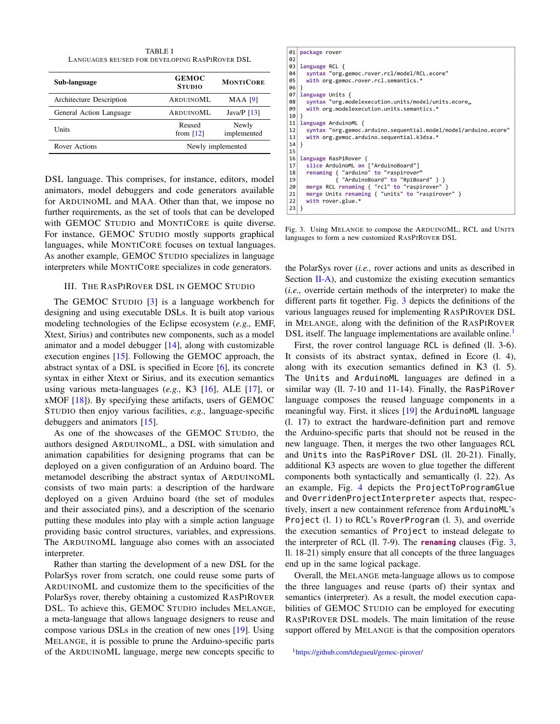TABLE I LANGUAGES REUSED FOR DEVELOPING RASPIROVER DSL

<span id="page-2-1"></span>

| Sub-language             | <b>GEMOC</b><br><b>STUDIO</b> | <b>MONTICORE</b>     |
|--------------------------|-------------------------------|----------------------|
| Architecture Description | ARDUINOML                     | <b>MAA</b> [9]       |
| General Action Language  | ARDUINOML                     | Java/P $[13]$        |
| Units                    | Reused<br>from $[12]$         | Newly<br>implemented |
| Rover Actions            | Newly implemented             |                      |

DSL language. This comprises, for instance, editors, model animators, model debuggers and code generators available for ARDUINOML and MAA. Other than that, we impose no further requirements, as the set of tools that can be developed with GEMOC STUDIO and MONTICORE is quite diverse. For instance, GEMOC STUDIO mostly supports graphical languages, while MONTICORE focuses on textual languages. As another example, GEMOC STUDIO specializes in language interpreters while MONTICORE specializes in code generators.

# III. THE RASPIROVER DSL IN GEMOC STUDIO

<span id="page-2-0"></span>The GEMOC STUDIO [\[3\]](#page-5-2) is a language workbench for designing and using executable DSLs. It is built atop various modeling technologies of the Eclipse ecosystem (*e.g.,* EMF, Xtext, Sirius) and contributes new components, such as a model animator and a model debugger [\[14\]](#page-5-14), along with customizable execution engines [\[15\]](#page-5-15). Following the GEMOC approach, the abstract syntax of a DSL is specified in Ecore [\[6\]](#page-5-5), its concrete syntax in either Xtext or Sirius, and its execution semantics using various meta-languages (*e.g.,* K3 [\[16\]](#page-5-16), ALE [\[17\]](#page-5-17), or xMOF [\[18\]](#page-5-18)). By specifying these artifacts, users of GEMOC STUDIO then enjoy various facilities, *e.g.,* language-specific debuggers and animators [\[15\]](#page-5-15).

As one of the showcases of the GEMOC STUDIO, the authors designed ARDUINOML, a DSL with simulation and animation capabilities for designing programs that can be deployed on a given configuration of an Arduino board. The metamodel describing the abstract syntax of ARDUINOML consists of two main parts: a description of the hardware deployed on a given Arduino board (the set of modules and their associated pins), and a description of the scenario putting these modules into play with a simple action language providing basic control structures, variables, and expressions. The ARDUINOML language also comes with an associated interpreter.

Rather than starting the development of a new DSL for the PolarSys rover from scratch, one could reuse some parts of ARDUINOML and customize them to the specificities of the PolarSys rover, thereby obtaining a customized RASPIROVER DSL. To achieve this, GEMOC STUDIO includes MELANGE, a meta-language that allows language designers to reuse and compose various DSLs in the creation of new ones [\[19\]](#page-5-19). Using MELANGE, it is possible to prune the Arduino-specific parts of the ARDUINOML language, merge new concepts specific to

| 01              | package rover                                                   |  |  |  |  |
|-----------------|-----------------------------------------------------------------|--|--|--|--|
| 02              |                                                                 |  |  |  |  |
| 03              | language RCL {                                                  |  |  |  |  |
| 04              | syntax "org.gemoc.rover.rcl/model/RCL.ecore"                    |  |  |  |  |
| 05              | with org.gemoc.rover.rcl.semantics.*                            |  |  |  |  |
| $06$ }          |                                                                 |  |  |  |  |
| 97              | language Units {                                                |  |  |  |  |
| 98              | syntax "org.modelexecution.units/model/units.ecore,             |  |  |  |  |
| 09              | with org.modelexecution.units.semantics.*                       |  |  |  |  |
| $10$   }        |                                                                 |  |  |  |  |
| 11              | language ArduinoML {                                            |  |  |  |  |
| 12              | syntax "org.gemoc.arduino.sequential.model/model/arduino.ecore" |  |  |  |  |
| 13              | with org.gemoc.arduino.sequential.k3dsa.*                       |  |  |  |  |
| $14$ }          |                                                                 |  |  |  |  |
| 15              |                                                                 |  |  |  |  |
| 16              | language RasPiRover {                                           |  |  |  |  |
| 17              | slice ArduinoML on ["ArduinoBoard"]                             |  |  |  |  |
| 18 <sup>1</sup> | renaming { "arduino" to "raspirover"                            |  |  |  |  |
| 19              | { "ArduinoBoard" to "RpiBoard" } }                              |  |  |  |  |
| 20 <sub>1</sub> | merge RCL renaming { "rcl" to "raspirover" }                    |  |  |  |  |
| 21              | merge Units renaming { "units" to "raspirover" }                |  |  |  |  |
| 22              | with rover.glue.*                                               |  |  |  |  |
| $23$   }        |                                                                 |  |  |  |  |

<span id="page-2-2"></span>Fig. 3. Using MELANGE to compose the ARDUINOML, RCL and UNITS languages to form a new customized RASPIROVER DSL

the PolarSys rover (*i.e.,* rover actions and units as described in Section [II-A\)](#page-1-2), and customize the existing execution semantics (*i.e.,* override certain methods of the interpreter) to make the different parts fit together. Fig. [3](#page-2-2) depicts the definitions of the various languages reused for implementing RASPIROVER DSL in MELANGE, along with the definition of the RASPIROVER DSL itself. The language implementations are available online.<sup>[1](#page-2-3)</sup>

First, the rover control language RCL is defined (ll. 3-6). It consists of its abstract syntax, defined in Ecore (l. 4), along with its execution semantics defined in K3 (l. 5). The Units and ArduinoML languages are defined in a similar way (ll. 7-10 and 11-14). Finally, the RasPiRover language composes the reused language components in a meaningful way. First, it slices [\[19\]](#page-5-19) the ArduinoML language (l. 17) to extract the hardware-definition part and remove the Arduino-specific parts that should not be reused in the new language. Then, it merges the two other languages RCL and Units into the RasPiRover DSL (ll. 20-21). Finally, additional K3 aspects are woven to glue together the different components both syntactically and semantically (l. 22). As an example, Fig. [4](#page-3-1) depicts the ProjectToProgramGlue and OverridenProjectInterpreter aspects that, respectively, insert a new containment reference from ArduinoML's Project (l. 1) to RCL's RoverProgram (l. 3), and override the execution semantics of Project to instead delegate to the interpreter of RCL (ll. 7-9). The **renaming** clauses (Fig. [3,](#page-2-2) ll. 18-21) simply ensure that all concepts of the three languages end up in the same logical package.

Overall, the MELANGE meta-language allows us to compose the three languages and reuse (parts of) their syntax and semantics (interpreter). As a result, the model execution capabilities of GEMOC STUDIO can be employed for executing RASPIROVER DSL models. The main limitation of the reuse support offered by MELANGE is that the composition operators

```
1https://github.com/tdegueul/gemoc-pirover/
```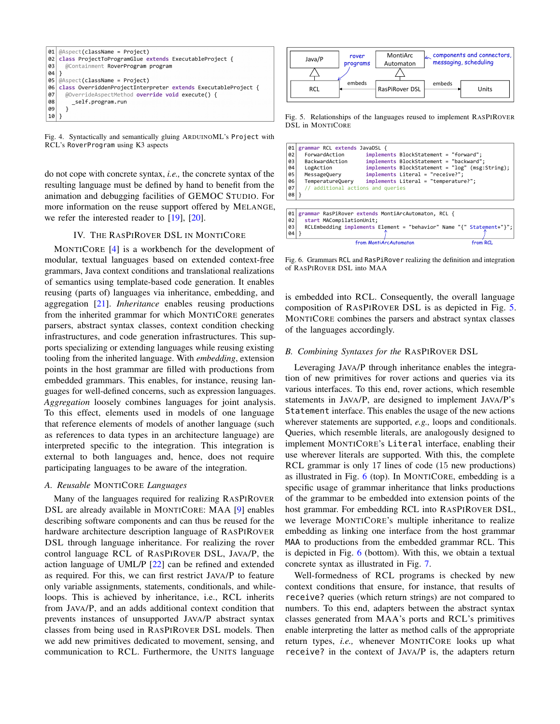

<span id="page-3-1"></span>Fig. 4. Syntactically and semantically gluing ARDUINOML's Project with RCL's RoverProgram using K3 aspects

do not cope with concrete syntax, *i.e.,* the concrete syntax of the resulting language must be defined by hand to benefit from the animation and debugging facilities of GEMOC STUDIO. For more information on the reuse support offered by MELANGE, we refer the interested reader to [\[19\]](#page-5-19), [\[20\]](#page-5-20).

## IV. THE RASPIROVER DSL IN MONTICORE

<span id="page-3-0"></span>MONTICORE [\[4\]](#page-5-3) is a workbench for the development of modular, textual languages based on extended context-free grammars, Java context conditions and translational realizations of semantics using template-based code generation. It enables reusing (parts of) languages via inheritance, embedding, and aggregation [\[21\]](#page-5-21). *Inheritance* enables reusing productions from the inherited grammar for which MONTICORE generates parsers, abstract syntax classes, context condition checking infrastructures, and code generation infrastructures. This supports specializing or extending languages while reusing existing tooling from the inherited language. With *embedding*, extension points in the host grammar are filled with productions from embedded grammars. This enables, for instance, reusing languages for well-defined concerns, such as expression languages. *Aggregation* loosely combines languages for joint analysis. To this effect, elements used in models of one language that reference elements of models of another language (such as references to data types in an architecture language) are interpreted specific to the integration. This integration is external to both languages and, hence, does not require participating languages to be aware of the integration.

#### *A. Reusable* MONTICORE *Languages*

Many of the languages required for realizing RASPIROVER DSL are already available in MONTICORE: MAA [\[9\]](#page-5-9) enables describing software components and can thus be reused for the hardware architecture description language of RASPIROVER DSL through language inheritance. For realizing the rover control language RCL of RASPIROVER DSL, JAVA/P, the action language of UML/P [\[22\]](#page-5-22) can be refined and extended as required. For this, we can first restrict JAVA/P to feature only variable assignments, statements, conditionals, and whileloops. This is achieved by inheritance, i.e., RCL inherits from JAVA/P, and an adds additional context condition that prevents instances of unsupported JAVA/P abstract syntax classes from being used in RASPIROVER DSL models. Then we add new primitives dedicated to movement, sensing, and communication to RCL. Furthermore, the UNITS language



<span id="page-3-2"></span>Fig. 5. Relationships of the languages reused to implement RASPIROVER DSL in MONTICORE



<span id="page-3-3"></span>Fig. 6. Grammars RCL and RasPiRover realizing the definition and integration of RASPIROVER DSL into MAA

is embedded into RCL. Consequently, the overall language composition of RASPIROVER DSL is as depicted in Fig. [5.](#page-3-2) MONTICORE combines the parsers and abstract syntax classes of the languages accordingly.

## *B. Combining Syntaxes for the* RASPIROVER DSL

Leveraging JAVA/P through inheritance enables the integration of new primitives for rover actions and queries via its various interfaces. To this end, rover actions, which resemble statements in JAVA/P, are designed to implement JAVA/P's Statement interface. This enables the usage of the new actions wherever statements are supported, *e.g.,* loops and conditionals. Queries, which resemble literals, are analogously designed to implement MONTICORE's Literal interface, enabling their use wherever literals are supported. With this, the complete RCL grammar is only 17 lines of code (15 new productions) as illustrated in Fig. [6](#page-3-3) (top). In MONTICORE, embedding is a specific usage of grammar inheritance that links productions of the grammar to be embedded into extension points of the host grammar. For embedding RCL into RASPIROVER DSL, we leverage MONTICORE's multiple inheritance to realize embedding as linking one interface from the host grammar MAA to productions from the embedded grammar RCL. This is depicted in Fig. [6](#page-3-3) (bottom). With this, we obtain a textual concrete syntax as illustrated in Fig. [7.](#page-4-1)

Well-formedness of RCL programs is checked by new context conditions that ensure, for instance, that results of receive? queries (which return strings) are not compared to numbers. To this end, adapters between the abstract syntax classes generated from MAA's ports and RCL's primitives enable interpreting the latter as method calls of the appropriate return types, *i.e.,* whenever MONTICORE looks up what receive? in the context of JAVA/P is, the adapters return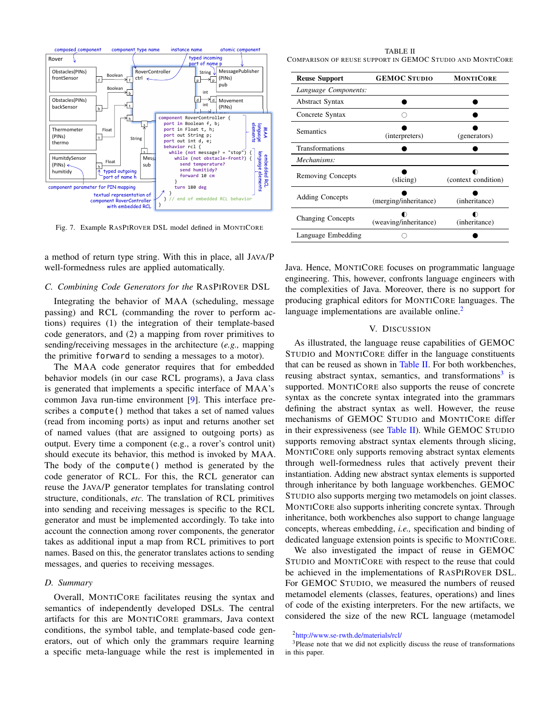

<span id="page-4-1"></span>Fig. 7. Example RASPIROVER DSL model defined in MONTICORE

a method of return type string. With this in place, all JAVA/P well-formedness rules are applied automatically.

# *C. Combining Code Generators for the* RASPIROVER DSL

Integrating the behavior of MAA (scheduling, message passing) and RCL (commanding the rover to perform actions) requires (1) the integration of their template-based code generators, and (2) a mapping from rover primitives to sending/receiving messages in the architecture (*e.g.,* mapping the primitive forward to sending a messages to a motor).

The MAA code generator requires that for embedded behavior models (in our case RCL programs), a Java class is generated that implements a specific interface of MAA's common Java run-time environment [\[9\]](#page-5-9). This interface prescribes a compute() method that takes a set of named values (read from incoming ports) as input and returns another set of named values (that are assigned to outgoing ports) as output. Every time a component (e.g., a rover's control unit) should execute its behavior, this method is invoked by MAA. The body of the compute() method is generated by the code generator of RCL. For this, the RCL generator can reuse the JAVA/P generator templates for translating control structure, conditionals, *etc.* The translation of RCL primitives into sending and receiving messages is specific to the RCL generator and must be implemented accordingly. To take into account the connection among rover components, the generator takes as additional input a map from RCL primitives to port names. Based on this, the generator translates actions to sending messages, and queries to receiving messages.

# *D. Summary*

Overall, MONTICORE facilitates reusing the syntax and semantics of independently developed DSLs. The central artifacts for this are MONTICORE grammars, Java context conditions, the symbol table, and template-based code generators, out of which only the grammars require learning a specific meta-language while the rest is implemented in

<span id="page-4-3"></span>TABLE II COMPARISON OF REUSE SUPPORT IN GEMOC STUDIO AND MONTICORE

| <b>Reuse Support</b>     | <b>GEMOC STUDIO</b>   | <b>MONTICORE</b>    |  |
|--------------------------|-----------------------|---------------------|--|
| Language Components:     |                       |                     |  |
| <b>Abstract Syntax</b>   |                       |                     |  |
| Concrete Syntax          |                       |                     |  |
| <b>Semantics</b>         | (interpreters)        | (generators)        |  |
| Transformations          |                       |                     |  |
| Mechanisms:              |                       |                     |  |
| Removing Concepts        | (slicing)             | (context condition) |  |
| <b>Adding Concepts</b>   | (merging/inheritance) | (inheritance)       |  |
| <b>Changing Concepts</b> | (weaving/inheritance) | (inheritance)       |  |
| Language Embedding       |                       |                     |  |

Java. Hence, MONTICORE focuses on programmatic language engineering. This, however, confronts language engineers with the complexities of Java. Moreover, there is no support for producing graphical editors for MONTICORE languages. The language implementations are available online. $<sup>2</sup>$  $<sup>2</sup>$  $<sup>2</sup>$ </sup>

#### V. DISCUSSION

<span id="page-4-0"></span>As illustrated, the language reuse capabilities of GEMOC STUDIO and MONTICORE differ in the language constituents that can be reused as shown in [Table II.](#page-4-3) For both workbenches, reusing abstract syntax, semantics, and transformations<sup>[3](#page-4-4)</sup> is supported. MONTICORE also supports the reuse of concrete syntax as the concrete syntax integrated into the grammars defining the abstract syntax as well. However, the reuse mechanisms of GEMOC STUDIO and MONTICORE differ in their expressiveness (see [Table II\)](#page-4-3). While GEMOC STUDIO supports removing abstract syntax elements through slicing, MONTICORE only supports removing abstract syntax elements through well-formedness rules that actively prevent their instantiation. Adding new abstract syntax elements is supported through inheritance by both language workbenches. GEMOC STUDIO also supports merging two metamodels on joint classes. MONTICORE also supports inheriting concrete syntax. Through inheritance, both workbenches also support to change language concepts, whereas embedding, *i.e.,* specification and binding of dedicated language extension points is specific to MONTICORE.

We also investigated the impact of reuse in GEMOC STUDIO and MONTICORE with respect to the reuse that could be achieved in the implementations of RASPIROVER DSL. For GEMOC STUDIO, we measured the numbers of reused metamodel elements (classes, features, operations) and lines of code of the existing interpreters. For the new artifacts, we considered the size of the new RCL language (metamodel

<sup>3</sup>Please note that we did not explicitly discuss the reuse of transformations in this paper.

<span id="page-4-4"></span><span id="page-4-2"></span><sup>2</sup><http://www.se-rwth.de/materials/rcl/>